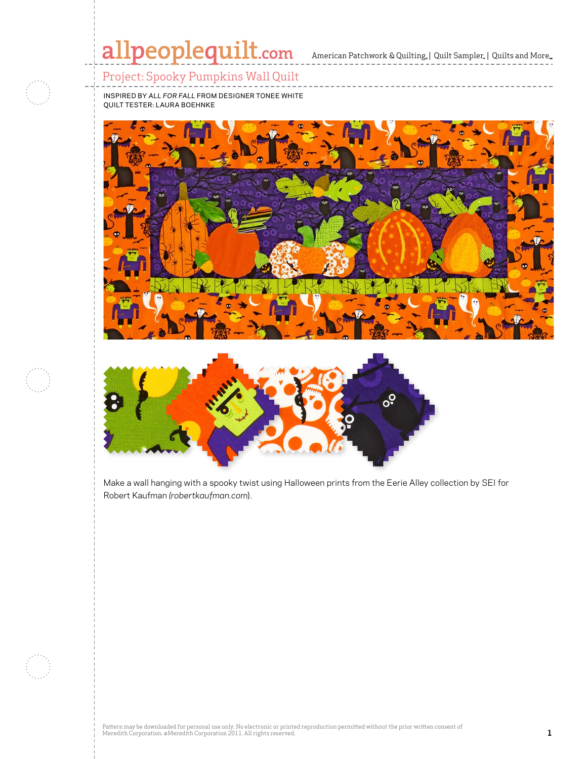#### Project: Spooky Pumpkins Wall Quilt

inspired by *ALL FOR FALL* from DESIGNER TONEE WHITE quilt tester: LAURA BOEhNKE





Make a wall hanging with a spooky twist using Halloween prints from the Eerie Alley collection by SEI for Robert Kaufman *(robertkaufman.com*).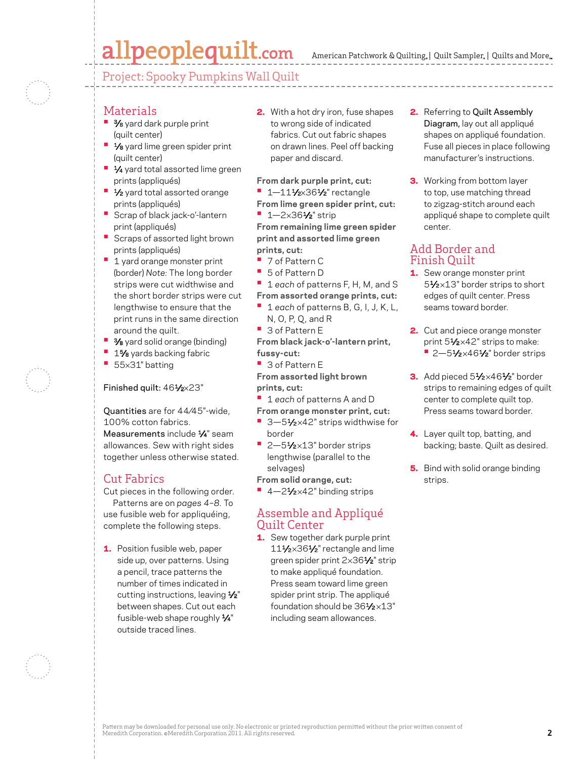## allpeoplequilt.com

American Patchwork & Quilting,  $|$  Quilt Sampler,  $|$  Quilts and More,



#### Materials

- **3/8** yard dark purple print (quilt center)
- **1/8** yard lime green spider print (quilt center)
- **1⁄4** yard total assorted lime green prints (appliqués)
- **1/<sub>2</sub>** yard total assorted orange prints (appliqués)
- **•** Scrap of black jack-o'-lantern print (appliqués)
- **•** Scraps of assorted light brown prints (appliqués)
- **<sup>•</sup>** 1 yard orange monster print (border) *Note:* The long border strips were cut widthwise and the short border strips were cut lengthwise to ensure that the print runs in the same direction around the quilt.
- $\frac{3}{8}$  yard solid orange (binding)
- 1% yards backing fabric
- **•**  <sup>55</sup>×31" batting

#### Finished quilt: 461/2×23"

Quantities are for 44⁄45"-wide, 100% cotton fabrics. Measurements include  $\frac{1}{4}$ " seam allowances. Sew with right sides together unless otherwise stated.

#### Cut Fabrics

- Cut pieces in the following order. Patterns are on *pages 4–8.* To use fusible web for appliquéing, complete the following steps.
- **1.** Position fusible web, paper side up, over patterns. Using a pencil, trace patterns the number of times indicated in cutting instructions, leaving  $\frac{1}{2}$ " between shapes. Cut out each fusible-web shape roughly  $\frac{1}{4}$ " outside traced lines.

2. With a hot dry iron, fuse shapes to wrong side of indicated fabrics. Cut out fabric shapes on drawn lines. Peel off backing paper and discard.

**From dark purple print, cut:**

- **•** 1-111/2×361/2" rectangle
- **From lime green spider print, cut:**
- **•**  1—2×361⁄2" strip

**From remaining lime green spider print and assorted lime green prints, cut:**

- **•**  7 of Pattern C
- **•**  5 of Pattern D
- **•**  <sup>1</sup>*each* of patterns F, H, M, and S
- **From assorted orange prints, cut:**
- **•**  <sup>1</sup>*each* of patterns B, G, I, J, K, L, N, O, P, Q, and R
- **•**  3 of Pattern E

**From black jack-o'-lantern print, fussy-cut:**

**•**  3 of Pattern E

**From assorted light brown prints, cut:**

- **•**  <sup>1</sup>*each* of patterns A and D
- **From orange monster print, cut:**
- 3-51⁄2×42" strips widthwise for border
- <sup>•</sup> 2–51⁄2×13" border strips lengthwise (parallel to the selvages)

**From solid orange, cut:**

<sup>•</sup> 4-2<sup>1</sup>/<sub>2</sub>×42" binding strips

#### Assemble and Appliqué Quilt Center

1. Sew together dark purple print 11<sup>1</sup>/<sub>2</sub>×36<sup>1</sup>/<sub>2</sub>" rectangle and lime green spider print 2×361⁄2" strip to make appliqué foundation. Press seam toward lime green spider print strip. The appliqué foundation should be 361⁄2 ×13" including seam allowances.

- 2. Referring to Quilt Assembly Diagram, lay out all appliqué shapes on appliqué foundation. Fuse all pieces in place following manufacturer's instructions.
- **3.** Working from bottom layer to top, use matching thread to zigzag-stitch around each appliqué shape to complete quilt center.

#### Add Border and Finish Quilt

- 1. Sew orange monster print 51⁄2 ×13" border strips to short edges of quilt center. Press seams toward border.
- 2. Cut and piece orange monster print 51/2×42" strips to make: ■ 2-51⁄2×461⁄2" border strips
- 3. Add pieced 51⁄2×461⁄2" border strips to remaining edges of quilt center to complete quilt top. Press seams toward border.
- 4. Layer quilt top, batting, and backing; baste. Quilt as desired.
- **5.** Bind with solid orange binding strips.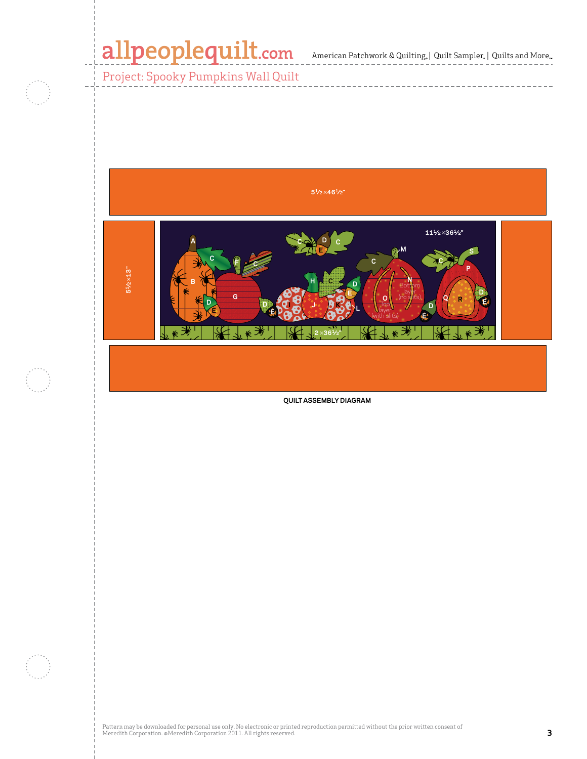$\mathbb{R}^2$ 

------------------

Project: Spooky Pumpkins Wall Quilt



**QUILT ASSEMBLY DIAGRAM**

Pattern may be downloaded for personal use only. No electronic or printed reproduction permitted without the prior written consent of Meredith Corporation. ©Meredith Corporation 2011. All rights reserved. **3**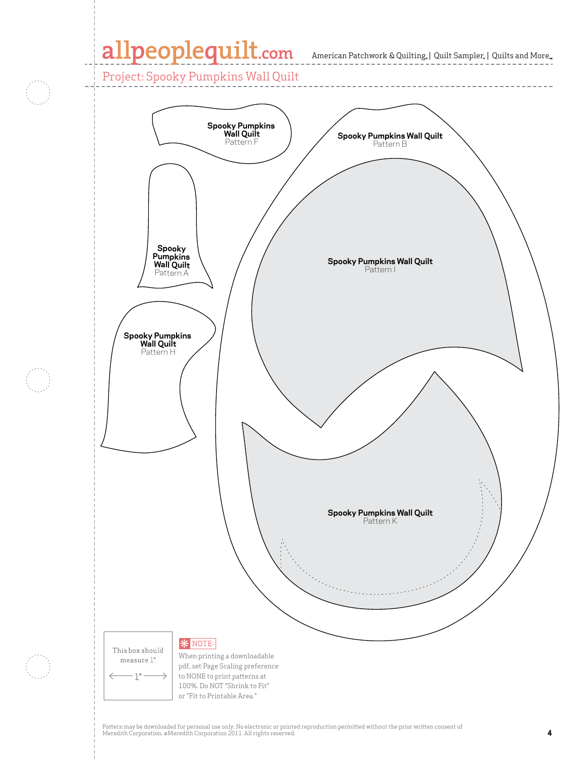Project: Spooky Pumpkins Wall Quilt



Pattern may be downloaded for personal use only. No electronic or printed reproduction permitted without the prior written consent of Meredith Corporation. ©Meredith Corporation 2011. All rights reserved. **4**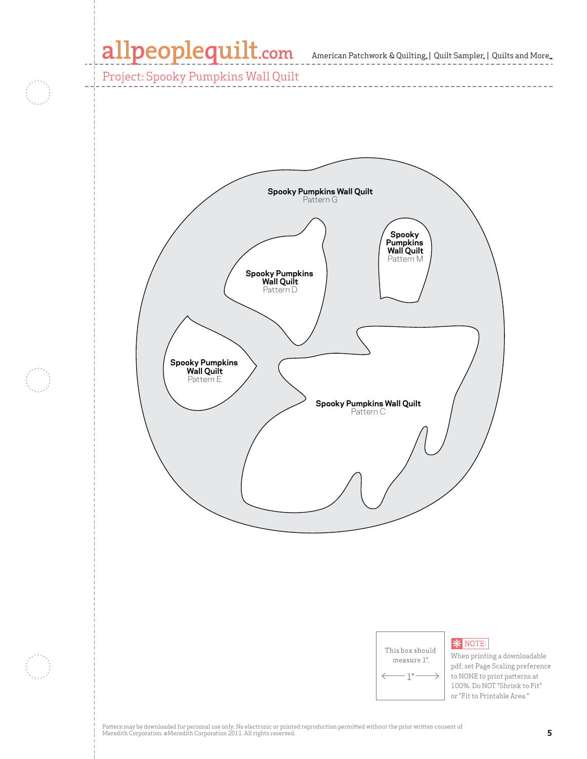\_\_\_\_\_\_\_\_\_\_\_

Project: Spooky Pumpkins Wall Quilt



| This box should |  |
|-----------------|--|
| measure 1".     |  |
| Π               |  |

When printing a downloadable pdf, set Page Scaling preference to NONE to print patterns at 100%. Do NOT "Shrink to Fit" or "Fit to Printable Area."

**\*** NOTE:

Pattern may be downloaded for personal use only. No electronic or printed reproduction permitted without the prior written consent of Meredith Corporation. ©Meredith Corporation 2011. All rights reserved. **5**<br>Meredith Corporation. ©Meredith Corporation 2011. All rights reserved.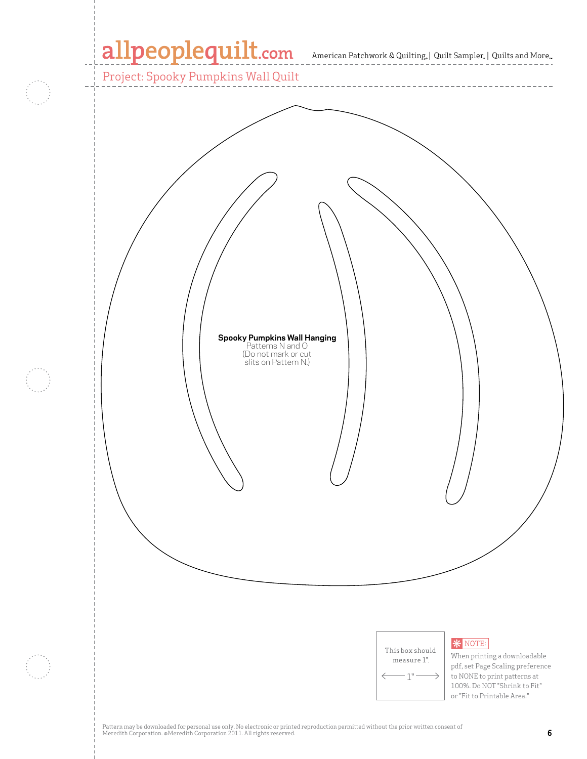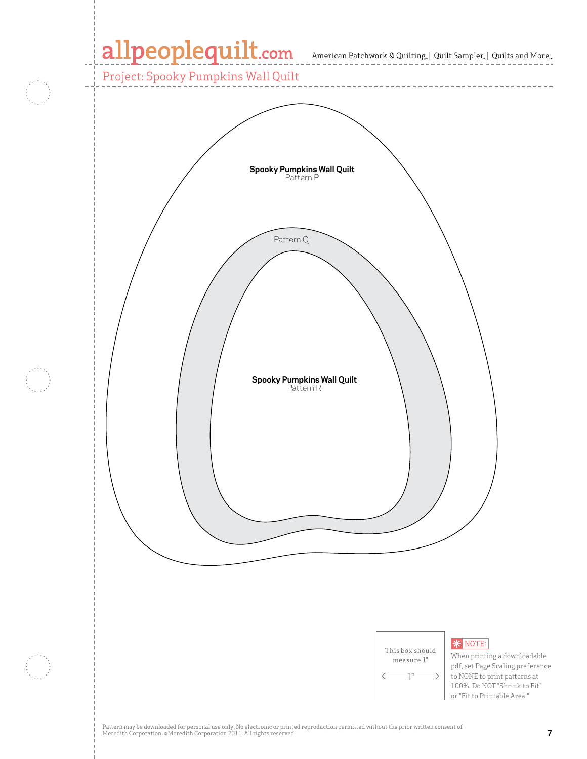Project: Spooky Pumpkins Wall Quilt